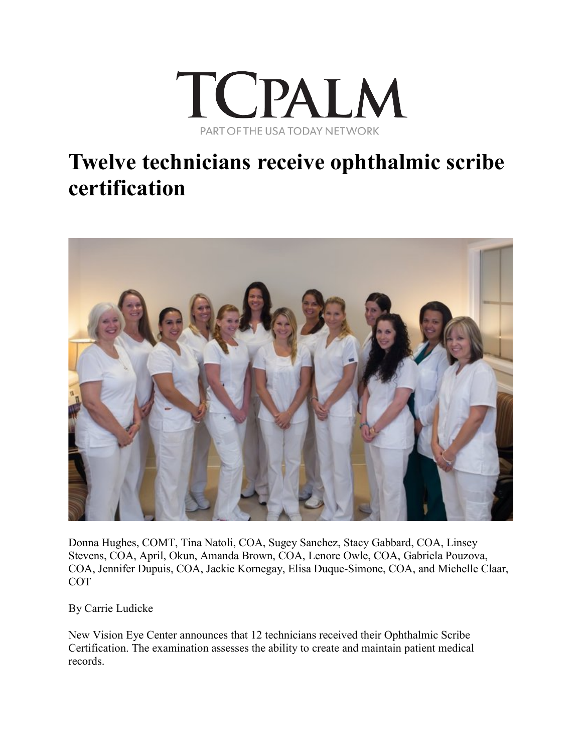

## **Twelve technicians receive ophthalmic scribe certification**



Donna Hughes, COMT, Tina Natoli, COA, Sugey Sanchez, Stacy Gabbard, COA, Linsey Stevens, COA, April, Okun, Amanda Brown, COA, Lenore Owle, COA, Gabriela Pouzova, COA, Jennifer Dupuis, COA, Jackie Kornegay, Elisa Duque-Simone, COA, and Michelle Claar, **COT** 

By Carrie Ludicke

New Vision Eye Center announces that 12 technicians received their Ophthalmic Scribe Certification. The examination assesses the ability to create and maintain patient medical records.